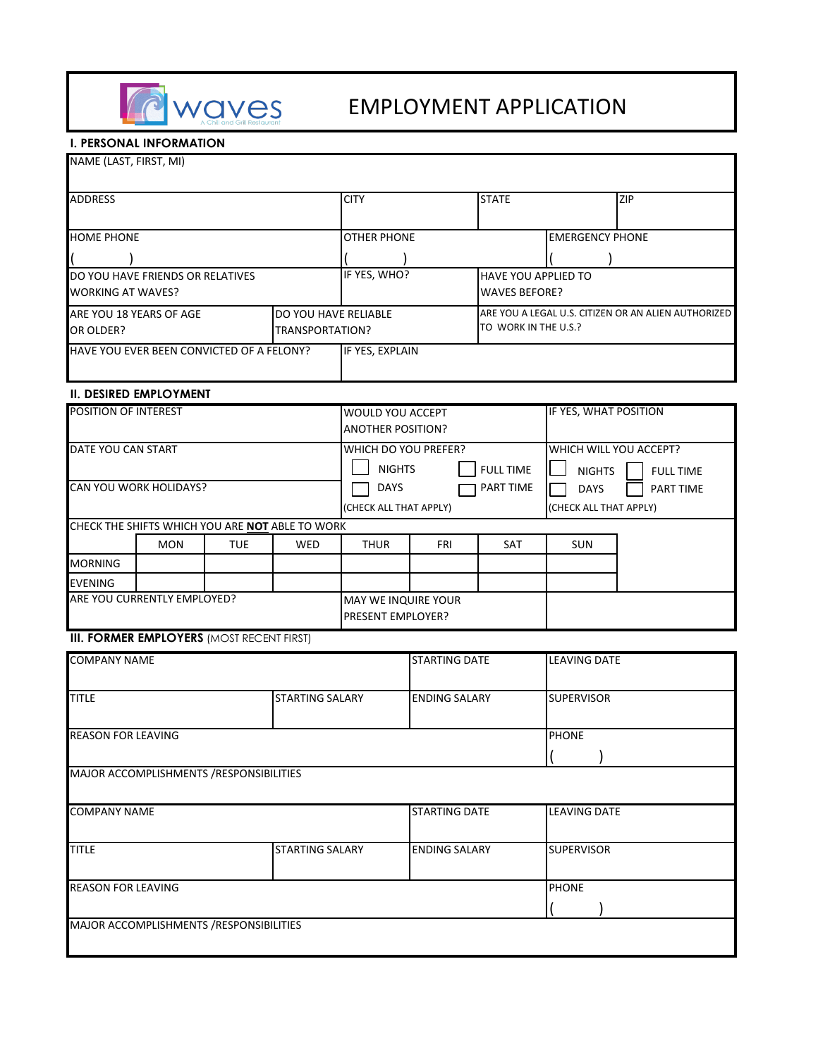

# EMPLOYMENT APPLICATION

### **I. PERSONAL INFORMATION**

| NAME (LAST, FIRST, MI)                          |                                                        |            |                                                                                                                 |                                              |                              |                                                         |                                                     |  |
|-------------------------------------------------|--------------------------------------------------------|------------|-----------------------------------------------------------------------------------------------------------------|----------------------------------------------|------------------------------|---------------------------------------------------------|-----------------------------------------------------|--|
| ADDRESS                                         |                                                        |            | <b>CITY</b>                                                                                                     |                                              | <b>STATE</b>                 |                                                         | <b>ZIP</b>                                          |  |
| <b>HOME PHONE</b>                               |                                                        |            |                                                                                                                 | <b>OTHER PHONE</b>                           |                              |                                                         | <b>EMERGENCY PHONE</b>                              |  |
|                                                 |                                                        |            |                                                                                                                 |                                              |                              |                                                         |                                                     |  |
|                                                 | DO YOU HAVE FRIENDS OR RELATIVES                       |            |                                                                                                                 |                                              | IF YES, WHO?                 |                                                         | HAVE YOU APPLIED TO                                 |  |
| <b>WORKING AT WAVES?</b>                        |                                                        |            |                                                                                                                 |                                              |                              | <b>WAVES BEFORE?</b>                                    |                                                     |  |
| DO YOU HAVE RELIABLE<br>ARE YOU 18 YEARS OF AGE |                                                        |            | TO WORK IN THE U.S.?                                                                                            |                                              |                              |                                                         | ARE YOU A LEGAL U.S. CITIZEN OR AN ALIEN AUTHORIZED |  |
| OR OLDER?<br>TRANSPORTATION?                    |                                                        |            |                                                                                                                 |                                              |                              |                                                         |                                                     |  |
| HAVE YOU EVER BEEN CONVICTED OF A FELONY?       |                                                        |            | IF YES, EXPLAIN                                                                                                 |                                              |                              |                                                         |                                                     |  |
|                                                 | <b>II. DESIRED EMPLOYMENT</b>                          |            |                                                                                                                 |                                              |                              |                                                         |                                                     |  |
| POSITION OF INTEREST                            |                                                        |            |                                                                                                                 | WOULD YOU ACCEPT<br><b>ANOTHER POSITION?</b> |                              |                                                         | IF YES, WHAT POSITION                               |  |
| DATE YOU CAN START<br>CAN YOU WORK HOLIDAYS?    |                                                        |            | WHICH DO YOU PREFER?<br><b>NIGHTS</b><br><b>FULL TIME</b><br>PART TIME<br><b>DAYS</b><br>(CHECK ALL THAT APPLY) |                                              | <b>NIGHTS</b><br><b>DAYS</b> | WHICH WILL YOU ACCEPT?<br><b>FULL TIME</b><br>PART TIME |                                                     |  |
|                                                 | CHECK THE SHIFTS WHICH YOU ARE <b>NOT</b> ABLE TO WORK |            |                                                                                                                 |                                              |                              |                                                         | (CHECK ALL THAT APPLY)                              |  |
|                                                 | <b>MON</b>                                             | <b>TUE</b> | WED                                                                                                             | <b>THUR</b>                                  | FRI                          | <b>SAT</b>                                              | <b>SUN</b>                                          |  |
| <b>MORNING</b>                                  |                                                        |            |                                                                                                                 |                                              |                              |                                                         |                                                     |  |
| EVENING                                         |                                                        |            |                                                                                                                 |                                              |                              |                                                         |                                                     |  |
| ARE YOU CURRENTLY EMPLOYED?                     |                                                        |            |                                                                                                                 | MAY WE INQUIRE YOUR<br>PRESENT EMPLOYER?     |                              |                                                         |                                                     |  |
|                                                 | <b>III. FORMER EMPLOYERS (MOST RECENT FIRST)</b>       |            |                                                                                                                 |                                              |                              |                                                         |                                                     |  |
| <b>COMPANY NAME</b>                             |                                                        |            |                                                                                                                 | <b>STARTING DATE</b>                         |                              | <b>LEAVING DATE</b>                                     |                                                     |  |
| <b>TITLE</b>                                    | <b>STARTING SALARY</b>                                 |            |                                                                                                                 |                                              | <b>ENDING SALARY</b>         |                                                         | <b>SUPERVISOR</b>                                   |  |
| <b>REASON FOR LEAVING</b>                       |                                                        |            |                                                                                                                 |                                              |                              |                                                         | <b>PHONE</b><br>$\sqrt{1}$                          |  |
|                                                 | MAJOR ACCOMPLISHMENTS / RESPONSIBILITIES               |            |                                                                                                                 |                                              |                              |                                                         |                                                     |  |
| <b>COMPANY NAME</b>                             |                                                        |            |                                                                                                                 | <b>STARTING DATE</b>                         |                              | <b>LEAVING DATE</b>                                     |                                                     |  |
| <b>TITLE</b><br><b>STARTING SALARY</b>          |                                                        |            | <b>ENDING SALARY</b>                                                                                            |                                              |                              | <b>SUPERVISOR</b>                                       |                                                     |  |
| REASON FOR LEAVING                              |                                                        |            |                                                                                                                 |                                              |                              | <b>PHONE</b>                                            |                                                     |  |
|                                                 | MAJOR ACCOMPLISHMENTS / RESPONSIBILITIES               |            |                                                                                                                 |                                              |                              |                                                         |                                                     |  |